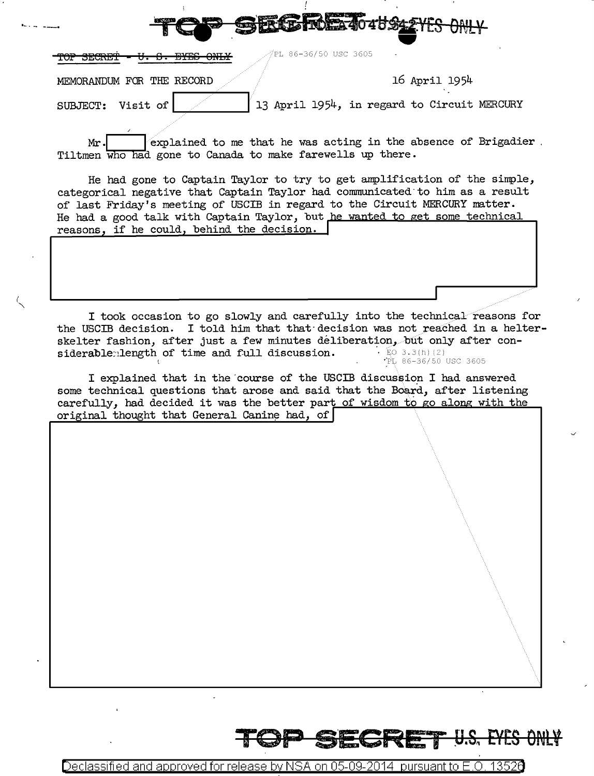| ---                       | <b>The Co</b> | <b>COMPANY In ANGEL TO A POSTAL ILO UNIT</b> |  |
|---------------------------|---------------|----------------------------------------------|--|
| $   -$                    |               | ∜PL 86-36/50 USC 3605                        |  |
| MEMORANDUM FOR THE RECORD |               | 16 April 1954                                |  |
| SUBJECT:<br>Visit of      |               | 13 April 1954, in regard to Circuit MERCURY  |  |
|                           |               |                                              |  |

STORY TO BE A TANK ON THE DAILY

explained to me that he was acting in the absence of Brigadier.  $Mr.$ Tiltmen who had gone to Canada to make farewells up there.

He had gone to Captain Taylor to try to get amplification of the simple, categorical negative that Captain Taylor had communicated to him as a result of last Friday's meeting of USCIB in regard to the Circuit MERCURY matter. He had a good talk with Captain Taylor, but he wanted to get some technical reasons, if he could, behind the decision.

I took occasion to go slowly and carefully into the technical reasons for the USCIB decision. I told him that that decision was not reached in a helterskelter fashion, after just a few minutes déliberation, but only after considerablemlength of time and full discussion.  $\cdot$  EO 3.3(h)(2) "PL 86-36/50 USC 3605

I explained that in the course of the USCIB discussion I had answered some technical questions that arose and said that the Board, after listening carefully, had decided it was the better part of wisdom to go along with the original thought that General Canine had, of

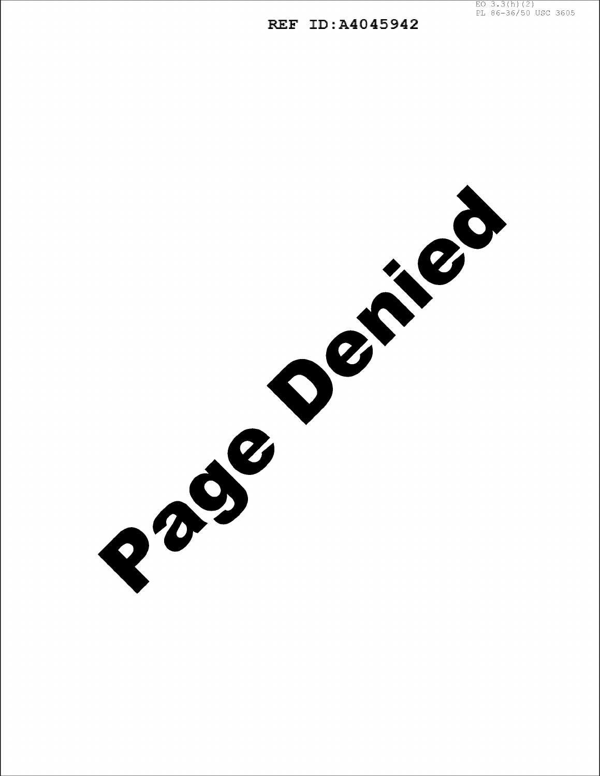## REF ID:A4045942

Passacree read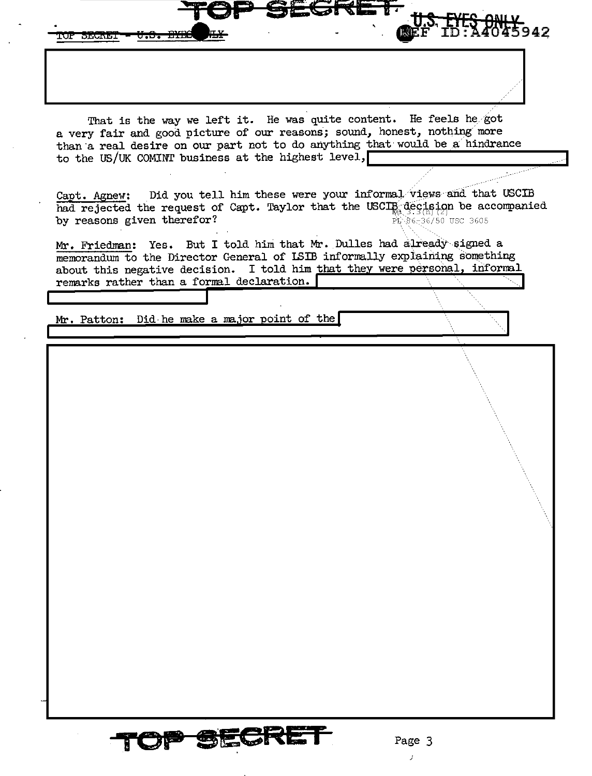942 **FOP SECRET** <del>V.S. BYB</del>e That is the way we left it. He was quite content. He feels he got a very fair and good picture of our reasons; sound, honest, nothing more than a real desire on our part not to do anything that would be a hindrance to the US/UK COMINT business at the highest level, Did you tell him these were your informal views and that USCIB Capt. Agnew: had rejected the request of Capt. Taylor that the USCIB decision be accompanied by reasons given therefor?  $\overrightarrow{PL}$ 86-36/50 USC 3605 Mr. Friedman: Yes. But I told him that Mr. Dulles had already signed a memorandum to the Director General of ISIB informally explaining something about this negative decision. I told him that they were personal, informal remarks rather than a formal declaration. Mr. Patton: Did he make a major point of the